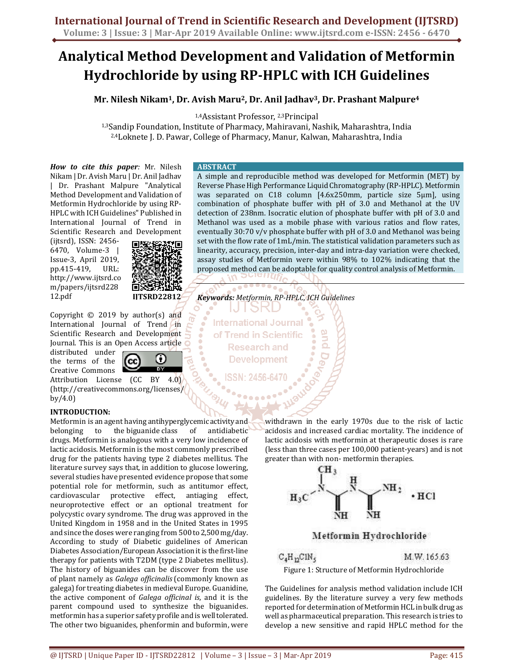# **Analytical Method Development and Validation of Metformin Hydrochloride by using RP-HPLC with ICH Guidelines**

**Mr. Nilesh Nikam<sup>1</sup>, Dr. Avish Maru<sup>2</sup>, Dr. Anil Jadhav<sup>3</sup>, Dr. Prashant Malpure<sup>4</sup>**

1,4Assistant Professor, 2,3Principal

1,3Sandip Foundation, Institute of Pharmacy, Mahiravani, Nashik, Maharashtra, India 2,4Loknete J. D. Pawar, College of Pharmacy, Manur, Kalwan, Maharashtra, India

*How to cite this paper:* Mr. Nilesh Nikam | Dr. Avish Maru | Dr. Anil Jadhav | Dr. Prashant Malpure "Analytical Method Development and Validation of Metformin Hydrochloride by using RP-HPLC with ICH Guidelines" Published in International Journal of Trend in Scientific Research and Development

(ijtsrd), ISSN: 2456- 6470, Volume-3 | Issue-3, April 2019, pp.415-419, URL: http://www.ijtsrd.co m/papers/ijtsrd228 12.pdf



Copyright  $©$  2019 by author(s) and International Journal of Trend in Scientific Research and Development Journal. This is an Open Access article

distributed under the terms of the Creative Commons



Attribution License (CC BY 4.0) (http://creativecommons.org/licenses/ by/4.0)

# **INTRODUCTION:**

Metformin is an agent having antihyperglycemic activity and belonging to the biguanide class of antidiabetic drugs. Metformin is analogous with a very low incidence of lactic acidosis. Metformin is the most commonly prescribed drug for the patients having type 2 diabetes mellitus. The literature survey says that, in addition to glucose lowering, several studies have presented evidence propose that some potential role for metformin, such as antitumor effect, cardiovascular protective effect, antiaging effect, neuroprotective effect or an optional treatment for polycystic ovary syndrome. The drug was approved in the United Kingdom in 1958 and in the United States in 1995 and since the doses were ranging from 500 to 2,500 mg/day. According to study of Diabetic guidelines of American Diabetes Association/European Association it is the first-line therapy for patients with T2DM (type 2 Diabetes mellitus). The history of biguanides can be discover from the use of plant namely as *Galega officinalis* (commonly known as galega) for treating diabetes in medieval Europe. Guanidine, the active component of *Galega officinal is*, and it is the parent compound used to synthesize the biguanides. metformin has a superior safety profile and is well tolerated. The other two biguanides, phenformin and buformin, were

# **ABSTRACT**

A simple and reproducible method was developed for Metformin (MET) by Reverse Phase High Performance Liquid Chromatography (RP-HPLC). Metformin was separated on C18 column [4.6x250mm, particle size 5μm], using combination of phosphate buffer with pH of 3.0 and Methanol at the UV detection of 238nm. Isocratic elution of phosphate buffer with pH of 3.0 and Methanol was used as a mobile phase with various ratios and flow rates, eventually 30:70 v/v phosphate buffer with pH of 3.0 and Methanol was being set with the flow rate of 1mL/min. The statistical validation parameters such as linearity, accuracy, precision, inter-day and intra-day variation were checked, assay studies of Metformin were within 98% to 102% indicating that the proposed method can be adoptable for quality control analysis of Metformin.

*Keywords: Metformin, RP-HPLC, ICH Guidelines*  15K

**International Journal** of Trend in Scientific **Research and Development** 

> withdrawn in the early 1970s due to the risk of lactic acidosis and increased cardiac mortality. The incidence of lactic acidosis with metformin at therapeutic doses is rare (less than three cases per 100,000 patient-years) and is not greater than with non- metformin therapies.



# Metformin Hydrochloride

# $C_4H_{12}CH_{5}$ M.W.165.63

Figure 1: Structure of Metformin Hydrochloride

The Guidelines for analysis method validation include ICH guidelines. By the literature survey a very few methods reported for determination of Metformin HCL in bulk drug as well as pharmaceutical preparation. This research is tries to develop a new sensitive and rapid HPLC method for the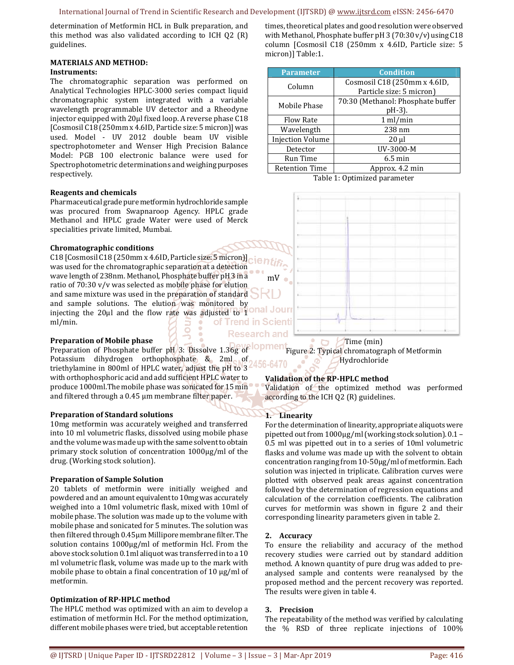determination of Metformin HCL in Bulk preparation, and this method was also validated according to ICH Q2 (R) guidelines.

# **MATERIALS AND METHOD:**

#### **Instruments:**

The chromatographic separation was performed on Analytical Technologies HPLC-3000 series compact liquid chromatographic system integrated with a variable wavelength programmable UV detector and a Rheodyne injector equipped with 20µl fixed loop. A reverse phase C18 [Cosmosil C18 (250mm x 4.6ID, Particle size: 5 micron)] was used. Model - UV 2012 double beam UV visible spectrophotometer and Wenser High Precision Balance Model: PGB 100 electronic balance were used for Spectrophotometric determinations and weighing purposes respectively.

#### **Reagents and chemicals**

Pharmaceutical grade pure metformin hydrochloride sample was procured from Swapnaroop Agency. HPLC grade Methanol and HPLC grade Water were used of Merck specialities private limited, Mumbai.

#### **Chromatographic conditions**

C18 [Cosmosil C18 (250mm x 4.6ID, Particle size: 5 micron)] was used for the chromatographic separation at a detection wave length of 238nm. Methanol, Phosphate buffer pH 3 in a mV ratio of 70:30 v/v was selected as mobile phase for elution and same mixture was used in the preparation of standard and sample solutions. The elution was monitored by injecting the 20µl and the flow rate was adjusted to 1 Our ml/min. of Trend in Scienti

#### **Preparation of Mobile phase**

**lopmen** Preparation of Phosphate buffer pH 3: Dissolve 1.36g of Potassium dihydrogen orthophosphate & 2ml of triethylamine in 800ml of HPLC water, adjust the pH to 3 with orthophosphoric acid and add sufficient HPLC water to produce 1000ml.The mobile phase was sonicated for 15 min and filtered through a 0.45 µm membrane filter paper.

#### **Preparation of Standard solutions**

10mg metformin was accurately weighed and transferred into 10 ml volumetric flasks, dissolved using mobile phase and the volume was made up with the same solvent to obtain primary stock solution of concentration 1000µg/ml of the drug. (Working stock solution).

#### **Preparation of Sample Solution**

20 tablets of metformin were initially weighed and powdered and an amount equivalent to 10mg was accurately weighed into a 10ml volumetric flask, mixed with 10ml of mobile phase. The solution was made up to the volume with mobile phase and sonicated for 5 minutes. The solution was then filtered through 0.45µm Millipore membrane filter. The solution contains 1000µg/ml of metformin Hcl. From the above stock solution 0.1ml aliquot was transferred in to a 10 ml volumetric flask, volume was made up to the mark with mobile phase to obtain a final concentration of 10 µg/ml of metformin.

#### **Optimization of RP-HPLC method**

The HPLC method was optimized with an aim to develop a estimation of metformin Hcl. For the method optimization, different mobile phases were tried, but acceptable retention

times, theoretical plates and good resolution were observed with Methanol, Phosphate buffer pH 3 (70:30 v/v) using C18 column [Cosmosil C18 (250mm x 4.6ID, Particle size: 5 micron)] Table:1.

| <b>Parameter</b>        | <b>Condition</b>                  |
|-------------------------|-----------------------------------|
| Column                  | Cosmosil C18 (250mm x 4.6ID,      |
|                         | Particle size: 5 micron)          |
| Mobile Phase            | 70:30 (Methanol: Phosphate buffer |
|                         | pH-3).                            |
| <b>Flow Rate</b>        | 1 ml/min                          |
| Wavelength              | 238 nm                            |
| <b>Injection Volume</b> | $20 \mu$                          |
| Detector                | UV-3000-M                         |
| Run Time                | $6.5 \text{ min}$                 |
| <b>Retention Time</b>   | Approx. 4.2 min                   |

Table 1: Optimized parameter



# Time (min)

Figure 2: Typical chromatograph of Metformin Hydrochloride

# **Validation of the RP-HPLC method**

Validation of the optimized method was performed according to the ICH Q2 (R) guidelines.

#### **1. Linearity**

For the determination of linearity, appropriate aliquots were pipetted out from 1000µg/ml (working stock solution). 0.1 – 0.5 ml was pipetted out in to a series of 10ml volumetric flasks and volume was made up with the solvent to obtain concentration ranging from 10-50µg/ml of metformin. Each solution was injected in triplicate. Calibration curves were plotted with observed peak areas against concentration followed by the determination of regression equations and calculation of the correlation coefficients. The calibration curves for metformin was shown in figure 2 and their corresponding linearity parameters given in table 2.

#### **2. Accuracy**

To ensure the reliability and accuracy of the method recovery studies were carried out by standard addition method. A known quantity of pure drug was added to preanalysed sample and contents were reanalysed by the proposed method and the percent recovery was reported. The results were given in table 4.

#### **3. Precision**

The repeatability of the method was verified by calculating the % RSD of three replicate injections of 100%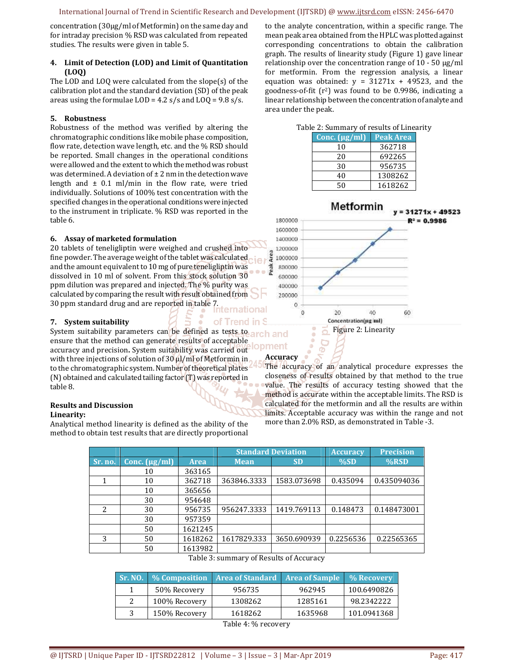concentration (30µg/ml of Metformin) on the same day and for intraday precision % RSD was calculated from repeated studies. The results were given in table 5.

## **4. Limit of Detection (LOD) and Limit of Quantitation (LOQ)**

The LOD and LOQ were calculated from the slope(s) of the calibration plot and the standard deviation (SD) of the peak areas using the formulae  $LOD = 4.2$  s/s and  $LOQ = 9.8$  s/s.

# **5. Robustness**

Robustness of the method was verified by altering the chromatographic conditions like mobile phase composition, flow rate, detection wave length, etc. and the % RSD should be reported. Small changes in the operational conditions were allowed and the extent to which the method was robust was determined. A deviation of  $\pm 2$  nm in the detection wave length and  $\pm$  0.1 ml/min in the flow rate, were tried individually. Solutions of 100% test concentration with the specified changes in the operational conditions were injected to the instrument in triplicate. % RSD was reported in the table 6.

# **6. Assay of marketed formulation**

20 tablets of teneligliptin were weighed and crushed into fine powder. The average weight of the tablet was calculated and the amount equivalent to 10 mg of pure teneligliptin was dissolved in 10 ml of solvent. From this stock solution 30 ppm dilution was prepared and injected. The % purity was calculated by comparing the result with result obtained from 30 ppm standard drug and are reported in table 7.

# **7. System suitability**

System suitability parameters can be defined as tests to arch and ensure that the method can generate results of acceptable accuracy and precision**.** System suitability was carried out with three injections of solution of 30  $\mu$ l/ml of Metformin in to the chromatographic system. Number of theoretical plates (N) obtained and calculated tailing factor (T) was reported in table 8.

# **Results and Discussion**

#### **Linearity:**

Analytical method linearity is defined as the ability of the method to obtain test results that are directly proportional to the analyte concentration, within a specific range. The mean peak area obtained from the HPLC was plotted against corresponding concentrations to obtain the calibration graph. The results of linearity study (Figure 1) gave linear relationship over the concentration range of  $10 - 50 \mu g/ml$ for metformin. From the regression analysis, a linear equation was obtained:  $y = 31271x + 49523$ , and the goodness-of-fit  $(r^2)$  was found to be 0.9986, indicating a linear relationship between the concentration of analyte and area under the peak.

|  | Table 2: Summary of results of Linearity |  |  |
|--|------------------------------------------|--|--|
|  |                                          |  |  |

| Conc. $(\mu g/ml)$ | <b>Peak Area</b> |
|--------------------|------------------|
| 10                 | 362718           |
| 20                 | 692265           |
| 30                 | 956735           |
| 40                 | 1308262          |
| ۲0                 | 1618262          |



# **Accuracy**

The accuracy of an analytical procedure expresses the closeness of results obtained by that method to the true value. The results of accuracy testing showed that the method is accurate within the acceptable limits. The RSD is calculated for the metformin and all the results are within limits. Acceptable accuracy was within the range and not more than 2.0% RSD, as demonstrated in Table -3.

|                          |                    |             | <b>Standard Deviation</b> |                             | <b>Accuracy</b> | <b>Precision</b> |
|--------------------------|--------------------|-------------|---------------------------|-----------------------------|-----------------|------------------|
| Sr. no.                  | Conc. $(\mu g/ml)$ | <b>Area</b> | <b>Mean</b>               | <b>SD</b>                   | %SD             | $%$ RSD          |
|                          | 10                 | 363165      |                           |                             |                 |                  |
|                          | 10                 | 362718      | 363846.3333               | 1583.073698                 | 0.435094        | 0.435094036      |
|                          | 10                 | 365656      |                           |                             |                 |                  |
|                          | 30                 | 954648      |                           |                             |                 |                  |
| $\overline{\mathcal{L}}$ | 30                 | 956735      | 956247.3333               | 1419.769113                 | 0.148473        | 0.148473001      |
|                          | 30                 | 957359      |                           |                             |                 |                  |
|                          | 50                 | 1621245     |                           |                             |                 |                  |
| 3                        | 50                 | 1618262     | 1617829.333               | 3650.690939                 | 0.2256536       | 0.22565365       |
|                          | 50                 | 1613982     |                           |                             |                 |                  |
|                          |                    | $m + 1$     | $\epsilon$ $\sim$         | $\mathbf{r}$ . $\mathbf{r}$ |                 |                  |

Table 3: summary of Results of Accuracy

| <b>Sr. NO.</b> |               | % Composition   Area of Standard   Area of Sample |         | $\%$ Recovery |
|----------------|---------------|---------------------------------------------------|---------|---------------|
|                | 50% Recovery  | 956735                                            | 962945  | 100.6490826   |
|                | 100% Recovery | 1308262                                           | 1285161 | 98.2342222    |
|                | 150% Recovery | 1618262                                           | 1635968 | 101.0941368   |
|                |               | m.1.1.4.04                                        |         |               |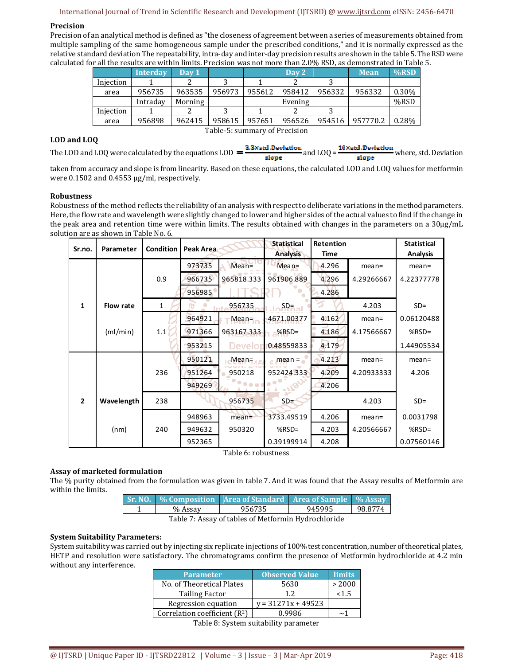# International Journal of Trend in Scientific Research and Development (IJTSRD) @ www.ijtsrd.com eISSN: 2456-6470

# **Precision**

Precision of an analytical method is defined as "the closeness of agreement between a series of measurements obtained from multiple sampling of the same homogeneous sample under the prescribed conditions," and it is normally expressed as the relative standard deviation The repeatability, intra-day and inter-day precision results are shown in the table 5. The RSD were calculated for all the results are within limits. Precision was not more than 2.0% RSD, as demonstrated in Table 5.

|                               | Interday | Day 1   |        |        | Day 2   |        | <b>Mean</b> | $%$ RSD |
|-------------------------------|----------|---------|--------|--------|---------|--------|-------------|---------|
| Injection                     |          |         |        |        |         |        |             |         |
| area                          | 956735   | 963535  | 956973 | 955612 | 958412  | 956332 | 956332      | 0.30%   |
|                               | Intraday | Morning |        |        | Evening |        |             | %RSD    |
| Injection                     |          |         |        |        |         |        |             |         |
| area                          | 956898   | 962415  | 958615 | 957651 | 956526  | 954516 | 957770.2    | 0.28%   |
| Table-5: summary of Precision |          |         |        |        |         |        |             |         |

#### **LOD and LOQ**

The LOD and LOQ were calculated by the equations LOD  $=\frac{3.3 \times \text{std} \cdot \text{Deviation}}{\text{slope}}$  and LOQ =  $\frac{10 \times \text{std} \cdot \text{Deviation}}{\text{slope}}$  where, std. Deviation

taken from accuracy and slope is from linearity. Based on these equations, the calculated LOD and LOQ values for metformin were 0.1502 and 0.4553 µg/ml, respectively.

# **Robustness**

Robustness of the method reflects the reliability of an analysis with respect to deliberate variations in the method parameters. Here, the flow rate and wavelength were slightly changed to lower and higher sides of the actual values to find if the change in the peak area and retention time were within limits. The results obtained with changes in the parameters on a 30µg/mL solution are as shown in Table No. 6.

| Sr.no.         | Parameter  | <b>Condition</b> | Peak Area |                                   | <b>Statistical</b><br><b>Analysis</b> | Retention<br>Time |            | <b>Statistical</b><br><b>Analysis</b> |
|----------------|------------|------------------|-----------|-----------------------------------|---------------------------------------|-------------------|------------|---------------------------------------|
|                |            |                  | 973735    | $Mean =$                          | $Mean =$                              | 4.296             | mean=      | $mean =$                              |
|                |            | 0.9              | 966735    | 965818.333                        | 961906.889                            | 4.296             | 4.29266667 | 4.22377778                            |
|                |            |                  | 956985    |                                   |                                       | 4.286             |            |                                       |
| 1              | Flow rate  | $\mathbf{1}$     |           | 956735                            | SD <sub>5</sub>                       |                   | 4.203      | $SD =$                                |
|                |            |                  | 964921    | Mean-                             | 4671.00377                            | 4.162             | mean=      | 0.06120488                            |
|                | (ml/min)   | 1.1              | 971366    | 963167.333                        | $%$ RSD=                              | 4.186             | 4.17566667 | % $RSD =$                             |
|                |            |                  | 953215    | Develor                           | 0.48559833                            | 4.179             |            | 1.44905534                            |
|                |            |                  | 950121    | $Mean =$                          | $mean =$                              | 4.213             | mean=      | $mean =$                              |
|                |            | 236              | 951264    | 950218                            | 952424.333                            | 4.209             | 4.20933333 | 4.206                                 |
|                |            |                  | 949269    | $\bullet \bullet \bullet \bullet$ | <br><b>.1182</b>                      | 4.206             |            |                                       |
| $\overline{2}$ | Wavelength | 238              |           | 956735                            | $SD =$                                |                   | 4.203      | $SD =$                                |
|                |            |                  | 948963    | $mean =$                          | 3733.49519                            | 4.206             | $mean =$   | 0.0031798                             |
|                | (nm)       | 240              | 949632    | 950320                            | $%$ RSD=                              | 4.203             | 4.20566667 | % $RSD =$                             |
|                |            |                  | 952365    |                                   | 0.39199914                            | 4.208             |            | 0.07560146                            |

Table 6: robustness

# **Assay of marketed formulation**

The % purity obtained from the formulation was given in table 7. And it was found that the Assay results of Metformin are within the limits.

|                                                      |         | Sr. NO.   % Composition   Area of Standard   Area of Sample   % Assay |        |         |  |  |
|------------------------------------------------------|---------|-----------------------------------------------------------------------|--------|---------|--|--|
|                                                      | % Assay | 956735                                                                | 945995 | 98.8774 |  |  |
| Teble 7. Access of tables of Motformin Hydroghlanide |         |                                                                       |        |         |  |  |

Table 7: Assay of tables of Metformin Hydrochloride

# **System Suitability Parameters:**

System suitability was carried out by injecting six replicate injections of 100% test concentration, number of theoretical plates, HETP and resolution were satisfactory. The chromatograms confirm the presence of Metformin hydrochloride at 4.2 min without any interference.

| <b>Parameter</b>                          | <b>Observed Value</b>           | limits |
|-------------------------------------------|---------------------------------|--------|
| No. of Theoretical Plates                 | 5630                            | > 2000 |
| <b>Tailing Factor</b>                     | 1.2.                            | < 1.5  |
| Regression equation                       | $y = 31271x + 49523$            |        |
| Correlation coefficient (R <sup>2</sup> ) | 0.9986                          | ~1     |
| $-1122$                                   | $\cdot$ $\cdot$ $\cdot$ $\cdot$ |        |

Table 8: System suitability parameter